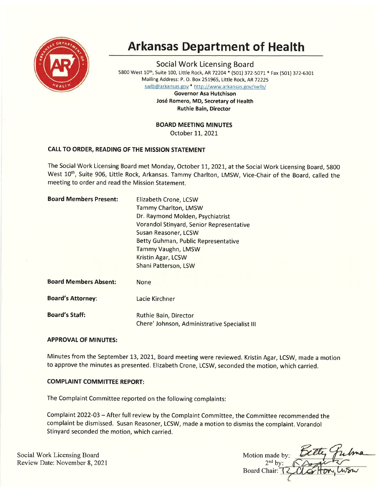

# Arkansas Department of Health

Social Work Licensing Board 5800 West 10th, Suite 100, Little Rock, AR 72204 \* (501) 372-5071 \* Fax (501) 372-6301 Mailing Address: P. O. Box 251955, Little Rock, AR72Z2S swlb@arkansas,gov \* http://www.arkansas.gov/swlb/

Governor Asa Hutchison José Romero, MD, Secretary of Health Ruthie Bain, Director

# BOARD MEETING MINUTES

October 11, 2021

# CALL TO ORDER, READING OF THE MISSION STATEMENT

The Social Work Licensing Board met Monday, October 11, 2021, at the Social Work Licensing Board, 5800 West 10<sup>th</sup>, Suite 906, Little Rock, Arkansas. Tammy Charlton, LMSW, Vice-Chair of the Board, called the meeting to order and read the Mission Statement.

| <b>Board Members Present:</b> | Elizabeth Crone, LCSW                                                  |
|-------------------------------|------------------------------------------------------------------------|
|                               | Tammy Charlton, LMSW                                                   |
|                               | Dr. Raymond Molden, Psychiatrist                                       |
|                               | Vorandol Stinyard, Senior Representative                               |
|                               | Susan Reasoner, LCSW                                                   |
|                               | Betty Guhman, Public Representative                                    |
|                               | Tammy Vaughn, LMSW                                                     |
|                               | Kristin Agar, LCSW                                                     |
|                               | Shani Patterson, LSW                                                   |
| <b>Board Members Absent:</b>  | None                                                                   |
| <b>Board's Attorney:</b>      | Lacie Kirchner                                                         |
| <b>Board's Staff:</b>         | Ruthie Bain, Director<br>Chere' Johnson, Administrative Specialist III |

# APPROVAL OF MINUTES:

Minutes from the September 73,2O2I, Board meeting were reviewed. Kristin Agar, LCSW, made a motion to approve the minutes as presented. Elizabeth Crone, LCSW, seconded the motion, which carried.

# COMPLAINT COMMITTEE REPORT:

The Complaint Committee reported on the following complaints:

Complaint 2O22-O3 - After full review by the Complaint Committee, the Committee recommended the complaint be dismissed. Susan Reasoner, LCSW, made a motion to dismiss the complaint. Vorandol Stinyard seconded the motion, which carried.

Social Work Licensing Board Review Date: November 8,2021

Motion made by:  $2<sup>nd</sup>$  by: Board Chair: T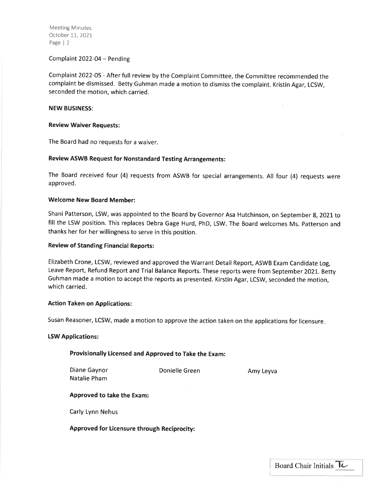Meeting Minutes October 11,2021 Page | <sup>2</sup>

#### Complaint 2022-04 - Pending

Complaint 2022-05 - After full review by the Complaint Committee, the Committee recommended the complaint be dismissed. Betty Guhman made a motion to dismiss the complaint. Kristin Agar, LCSW, seconded the motion, which carried.

#### NEW BUSINESS:

#### Review Waiver Requests:

The Board had no requests for a waiver.

#### Review ASWB Request for Nonstandard Testing Arrangements:

The Board received four (4) requests from ASWB for special arrangements. All four (4) requests were approved.

#### Welcome New Board Member:

Shani Patterson, LSW, was appointed to the Board by Governor Asa Hutchinson, on September 8, 2021 to fill the LSW position. This replaces Debra Gage Hurd, PhD, LSW. The Board welcomes Ms. patterson and thanks her for her willingness to serve in this position.

#### Review of Standing Financial Reports:

Elizabeth Crone, LCSW, reviewed and approved the Warrant Detail Report, ASWB Exam Candidate Log, Leave Report, Refund Report and Trial Balance Reports. These reports were from September 2021. Betty Guhman made a motion to accept the reports as presented. Kirstin Agar, LCSW, seconded the motion, which carried.

#### Action Taken on Applications:

Susan Reasoner, LCSW, made a motion to approve the action taken on the applications for licensure

#### LSW Applications:

#### Provisionally Licensed and Approved to Take the Exam:

Diane Gaynor Natalie Pham

Donielle Green Amy Leyva

L

#### Approved to take the Exam:

Carly Lynn Nehus

#### Approved for Licensure through Reciprocity: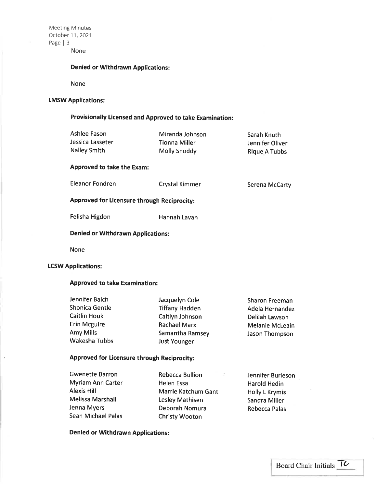Meeting Minutes October 11,2027 Page | <sup>3</sup> None

## Denied or Withdrawn Applications:

None

# LMSW Applications:

# Provisionally Licensed and Approved to take Examination:

| Ashlee Fason<br>Jessica Lasseter<br><b>Nalley Smith</b> | Miranda Johnson<br><b>Tionna Miller</b><br>Molly Snoddy | Sarah Knuth<br>Jennifer Oliver<br><b>Rique A Tubbs</b> |  |  |
|---------------------------------------------------------|---------------------------------------------------------|--------------------------------------------------------|--|--|
| <b>Approved to take the Exam:</b>                       |                                                         |                                                        |  |  |
| Eleanor Fondren                                         | <b>Crystal Kimmer</b>                                   | Serena McCarty                                         |  |  |
| Approved for Licensure through Reciprocity:             |                                                         |                                                        |  |  |
| Felisha Higdon                                          | Hannah Lavan                                            |                                                        |  |  |
| <b>Denied or Withdrawn Applications:</b>                |                                                         |                                                        |  |  |
|                                                         |                                                         |                                                        |  |  |

None

# LCSW Applications:

i,

## Approved to take Examination:

| Jacquelyn Cole        | Sharon Freeman         |
|-----------------------|------------------------|
| <b>Tiffany Hadden</b> | Adela Hernandez        |
| Caitlyn Johnson       | Delilah Lawson         |
| <b>Rachael Marx</b>   | <b>Melanie McLeain</b> |
| Samantha Ramsey       | Jason Thompson         |
| <b>Just Younger</b>   |                        |
|                       |                        |

# Approved for Licensure through Reciprocity:

| <b>Gwenette Barron</b>   | <b>Rebecca Bullion</b><br>- 55 | Jennifer Burleson     |
|--------------------------|--------------------------------|-----------------------|
| <b>Myriam Ann Carter</b> | Helen Essa                     | <b>Harold Hedin</b>   |
| Alexis Hill              | Marrie Katchum Gant            | <b>Holly L Krymis</b> |
| <b>Melissa Marshall</b>  | Lesley Mathisen                | Sandra Miller         |
| Jenna Myers              | Deborah Nomura                 | <b>Rebecca Palas</b>  |
| Sean Michael Palas       | <b>Christy Wooton</b>          |                       |

Denied or Withdrawn Applications: